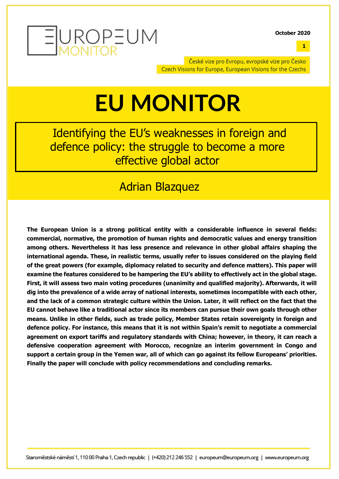

**1**

České vize pro Evropu, evropské vize pro Česko Czech Visions for Europe, European Visions for the Czechs

### **EU MONITOR**

Identifying the EU's weaknesses in foreign and defence policy: the struggle to become a more effective global actor

### Adrian Blazquez

**The European Union is a strong political entity with a considerable influence in several fields: commercial, normative, the promotion of human rights and democratic values and energy transition among others. Nevertheless it has less presence and relevance in other global affairs shaping the international agenda. These, in realistic terms, usually refer to issues considered on the playing field of the great powers (for example, diplomacy related to security and defence matters). This paper will examine the features considered to be hampering the EU's ability to effectively act in the global stage. First, it will assess two main voting procedures (unanimity and qualified majority). Afterwards, it will dig into the prevalence of a wide array of national interests, sometimes incompatible with each other, and the lack of a common strategic culture within the Union. Later, it will reflect on the fact that the EU cannot behave like a traditional actor since its members can pursue their own goals through other means. Unlike in other fields, such as trade policy, Member States retain sovereignty in foreign and defence policy. For instance, this means that it is not within Spain's remit to negotiate a commercial agreement on export tariffs and regulatory standards with China; however, in theory, it can reach a defensive cooperation agreement with Morocco, recognize an interim government in Congo and support a certain group in the Yemen war, all of which can go against its fellow Europeans' priorities. Finally the paper will conclude with policy recommendations and concluding remarks.**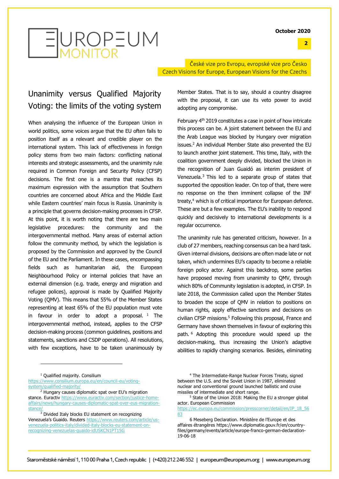**2**



České vize pro Evropu, evropské vize pro Česko Czech Visions for Europe, European Visions for the Czechs

#### Unanimity versus Qualified Majority Voting: the limits of the voting system

When analysing the influence of the European Union in world politics, some voices argue that the EU often fails to position itself as a relevant and credible player on the international system. This lack of effectiveness in foreign policy stems from two main factors: conflicting national interests and strategic assessments, and the unanimity rule required in Common Foreign and Security Policy (CFSP) decisions. The first one is a mantra that reaches its maximum expression with the assumption that Southern countries are concerned about Africa and the Middle East while Eastern countries' main focus is Russia. Unanimity is a principle that governs decision-making processes in CFSP. At this point, it is worth noting that there are two main legislative procedures: the community and the intergovernmental method. Many areas of external action follow the community method, by which the legislation is proposed by the Commission and approved by the Council of the EU and the Parliament. In these cases, encompassing fields such as humanitarian aid, the European Neighbourhood Policy or internal policies that have an external dimension (e.g. trade, energy and migration and refugee polices), approval is made by Qualified Majority Voting (QMV). This means that 55% of the Member States representing at least 65% of the EU population must vote in favour in order to adopt a proposal.  $1$  The intergovernmental method, instead, applies to the CFSP decision-making process (common guidelines, positions and statements, sanctions and CSDP operations). All resolutions, with few exceptions, have to be taken unanimously by

Member States. That is to say, should a country disagree with the proposal, it can use its veto power to avoid adopting any compromise.

February 4<sup>th</sup> 2019 constitutes a case in point of how intricate this process can be. A joint statement between the EU and the Arab League was blocked by Hungary over migration issues.<sup>2</sup> An individual Member State also prevented the EU to launch another joint statement. This time, Italy, with the coalition government deeply divided, blocked the Union in the recognition of Juan Guaidó as interim president of Venezuela.<sup>3</sup> This led to a separate group of states that supported the opposition leader. On top of that, there were no response on the then imminent collapse of the INF treaty,<sup>4</sup> which is of critical importance for European defence. These are but a few examples. The EU's inability to respond quickly and decisively to international developments is a regular occurrence.

The unanimity rule has generated criticism, however. In a club of 27 members, reaching consensus can be a hard task. Given internal divisions, decisions are often made late or not taken, which undermines EU's capacity to become a reliable foreign policy actor. Against this backdrop, some parties have proposed moving from unanimity to QMV, through which 80% of Community legislation is adopted, in CFSP. In late 2018, the Commission called upon the Member States to broaden the scope of QMV in relation to positions on human rights, apply effective sanctions and decisions on civilian CFSP missions.<sup>5</sup> Following this proposal, France and Germany have shown themselves in favour of exploring this path. <sup>6</sup> Adopting this procedure would speed up the decision-making, thus increasing the Union's adaptive abilities to rapidly changing scenarios. Besides, eliminating

[https://www.consilium.europa.eu/en/council-eu/voting](https://www.consilium.europa.eu/en/council-eu/voting-system/qualified-majority/)[system/qualified-majority/](https://www.consilium.europa.eu/en/council-eu/voting-system/qualified-majority/)

 $3$  Divided Italy blocks EU statement on recognizing Venezuela's Guaido. Reuters [https://www.reuters.com/article/us](https://www.reuters.com/article/us-venezuela-politics-italy/divided-italy-blocks-eu-statement-on-recognizing-venezuelas-guaido-idUSKCN1PT15G)[venezuela-politics-italy/divided-italy-blocks-eu-statement-on](https://www.reuters.com/article/us-venezuela-politics-italy/divided-italy-blocks-eu-statement-on-recognizing-venezuelas-guaido-idUSKCN1PT15G)[recognizing-venezuelas-guaido-idUSKCN1PT15G](https://www.reuters.com/article/us-venezuela-politics-italy/divided-italy-blocks-eu-statement-on-recognizing-venezuelas-guaido-idUSKCN1PT15G)

<sup>&</sup>lt;sup>1</sup> Qualified majority. Consilium

<sup>2</sup> Hungary causes diplomatic spat over EU's migration stance. Euractiv [https://www.euractiv.com/section/justice-home](https://www.euractiv.com/section/justice-home-affairs/news/hungary-causes-diplomatic-spat-over-eus-migration-stance/)[affairs/news/hungary-causes-diplomatic-spat-over-eus-migration](https://www.euractiv.com/section/justice-home-affairs/news/hungary-causes-diplomatic-spat-over-eus-migration-stance/)[stance/](https://www.euractiv.com/section/justice-home-affairs/news/hungary-causes-diplomatic-spat-over-eus-migration-stance/)

<sup>4</sup> The Intermediate-Range Nuclear Forces Treaty, signed between the U.S. and the Soviet Union in 1987, eliminated nuclear and conventional ground launched ballistic and cruise missiles of intermediate and short range.

 $5$  State of the Union 2018: Making the EU a stronger global actor. European Commission

[https://ec.europa.eu/commission/presscorner/detail/en/IP\\_18\\_56](https://ec.europa.eu/commission/presscorner/detail/en/IP_18_5683) [83](https://ec.europa.eu/commission/presscorner/detail/en/IP_18_5683)

<sup>6</sup> Meseberg Declaration. Ministère de l'Europe et des affaires étrangères [https://www.diplomatie.gouv.fr/en/country](https://www.diplomatie.gouv.fr/en/country-files/germany/events/article/europe-franco-german-declaration-19-06-18)[files/germany/events/article/europe-franco-german-declaration-](https://www.diplomatie.gouv.fr/en/country-files/germany/events/article/europe-franco-german-declaration-19-06-18)[19-06-18](https://www.diplomatie.gouv.fr/en/country-files/germany/events/article/europe-franco-german-declaration-19-06-18)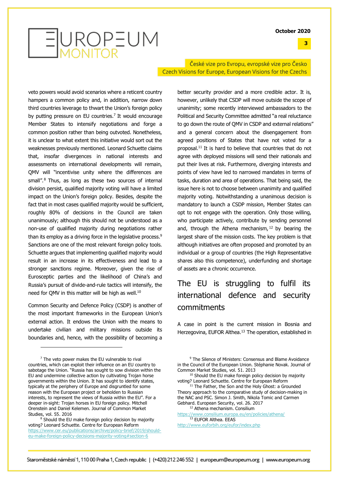**3**

# EUROPEUM

České vize pro Evropu, evropské vize pro Česko Czech Visions for Europe, European Visions for the Czechs

veto powers would avoid scenarios where a reticent country hampers a common policy and, in addition, narrow down third countries leverage to thwart the Union's foreign policy by putting pressure on EU countries.<sup>7</sup> It would encourage Member States to intensify negotiations and forge a common position rather than being outvoted. Nonetheless, it is unclear to what extent this initiative would sort out the weaknesses previously mentioned. Leonard Schuette claims that, insofar divergences in national interests and assessments on international developments will remain, QMV will "incentivise unity where the differences are small".<sup>8</sup> Thus, as long as these two sources of internal division persist, qualified majority voting will have a limited impact on the Union's foreign policy. Besides, despite the fact that in most cases qualified majority would be sufficient, roughly 80% of decisions in the Council are taken unanimously; although this should not be understood as a non-use of qualified majority during negotiations rather than its employ as a driving force in the legislative process.<sup>9</sup> Sanctions are one of the most relevant foreign policy tools. Schuette argues that implementing qualified majority would result in an increase in its effectiveness and lead to a stronger sanctions regime. Moreover, given the rise of Eurosceptic parties and the likelihood of China's and Russia's pursuit of divide-and-rule tactics will intensify, the need for QMV in this matter will be high as well.<sup>10</sup>

Common Security and Defence Policy (CSDP) is another of the most important frameworks in the European Union's external action. It endows the Union with the means to undertake civilian and military missions outside its boundaries and, hence, with the possibility of becoming a better security provider and a more credible actor. It is, however, unlikely that CSDP will move outside the scope of unanimity; some recently interviewed ambassadors to the Political and Security Committee admitted "a real reluctance to go down the route of QMV in CSDP and external relations" and a general concern about the disengagement from agreed positions of States that have not voted for a proposal.<sup>11</sup> It is hard to believe that countries that do not agree with deployed missions will send their nationals and put their lives at risk. Furthermore, diverging interests and points of view have led to narrowed mandates in terms of tasks, duration and area of operations. That being said, the issue here is not to choose between unanimity and qualified majority voting. Notwithstanding a unanimous decision is mandatory to launch a CSDP mission, Member States can opt to not engage with the operation. Only those willing, who participate actively, contribute by sending personnel and, through the Athena mechanism,  $12$  by bearing the largest share of the mission costs. The key problem is that although initiatives are often proposed and promoted by an individual or a group of countries (the High Representative shares also this competence), underfunding and shortage of assets are a chronic occurrence.

### The EU is struggling to fulfil its international defence and security commitments

A case in point is the current mission in Bosnia and Herzegovina, EUFOR Althea.<sup>13</sup> The operation, established in

<sup>12</sup> Athena mechanism. Consilium <https://www.consilium.europa.eu/en/policies/athena/> <sup>13</sup> EUFOR Althea. EEAS

 $<sup>7</sup>$  The veto power makes the EU vulnerable to rival</sup> countries, which can exploit their influence on an EU country to sabotage the Union. "Russia has sought to sow division within the EU and undermine collective action by cultivating Trojan horse governments within the Union. It has sought to identify states, typically at the periphery of Europe and disgruntled for some reason with the European project or beholden to Russian interests, to represent the views of Russia within the EU". For a deeper in-sight: Trojan horses in EU foreign policy. Mitchell Orenstein and Daniel Kelemen. Journal of Common Market Studies, vol. 55. 2016

<sup>&</sup>lt;sup>8</sup> Should the EU make foreign policy decision by majority voting? Leonard Schuette. Centre for European Reform [https://www.cer.eu/publications/archive/policy-brief/2019/should](https://www.cer.eu/publications/archive/policy-brief/2019/should-eu-make-foreign-policy-decisions-majority-voting#section-6)[eu-make-foreign-policy-decisions-majority-voting#section-6](https://www.cer.eu/publications/archive/policy-brief/2019/should-eu-make-foreign-policy-decisions-majority-voting#section-6)

<sup>&</sup>lt;sup>9</sup> The Silence of Ministers: Consensus and Blame Avoidance in the Council of the European Union. Stéphanie Novak. Journal of Common Market Studies, vol. 51. 2013

<sup>&</sup>lt;sup>10</sup> Should the EU make foreign policy decision by majority voting? Leonard Schuette. Centre for European Reform

<sup>&</sup>lt;sup>11</sup> The Father, the Son and the Holy Ghost: a Grounded Theory approach to the comparative study of decision-making in the NAC and PSC. Simon J. Smith, Nikola Tomic and Carmen Gebhard. European Security, vol. 26. 2017

<http://www.euforbih.org/eufor/index.php>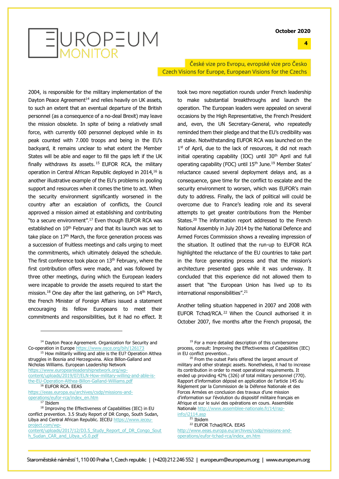**4**



České vize pro Evropu, evropské vize pro Česko Czech Visions for Europe, European Visions for the Czechs

2004, is responsible for the military implementation of the Dayton Peace Agreement<sup>14</sup> and relies heavily on UK assets, to such an extent that an eventual departure of the British personnel (as a consequence of a no-deal Brexit) may leave the mission obsolete. In spite of being a relatively small force, with currently 600 personnel deployed while in its peak counted with 7.000 troops and being in the EU's backyard, it remains unclear to what extent the Member States will be able and eager to fill the gaps left if the UK finally withdraws its assets.  $15$  EUFOR RCA, the military operation in Central African Republic deployed in 2014,<sup>16</sup> is another illustrative example of the EU's problems in pooling support and resources when it comes the time to act. When the security environment significantly worsened in the country after an escalation of conflicts, the Council approved a mission aimed at establishing and contributing "to a secure environment".<sup>17</sup> Even though EUFOR RCA was established on 10<sup>th</sup> February and that its launch was set to take place on  $17<sup>th</sup>$  March, the force generation process was a succession of fruitless meetings and calls urging to meet the commitments, which ultimately delayed the schedule. The first conference took place on  $13<sup>th</sup>$  February, where the first contribution offers were made, and was followed by three other meetings, during which the European leaders were incapable to provide the assets required to start the mission.<sup>18</sup> One day after the last gathering, on  $14<sup>th</sup>$  March, the French Minister of Foreign Affairs issued a statement encouraging its fellow Europeans to meet their commitments and responsibilities, but it had no effect. It

<sup>14</sup> Dayton Peace Agreement. Organization for Security and Co-operation in Europ[e https://www.osce.org/bih/126173](https://www.osce.org/bih/126173)

<sup>15</sup> How militarily willing and able is the EU? Operation Althea struggles in Bosnia and Herzegovina. Alice Billon-Galland and Nicholas Williams. European Leadership Network

[https://www.europeanleadershipnetwork.org/wp](https://www.europeanleadershipnetwork.org/wp-content/uploads/2019/07/ELN-How-military-willing-and-able-is-the-EU-Operation-Althea-Billon-Galland-Williams.pdf)[content/uploads/2019/07/ELN-How-military-willing-and-able-is](https://www.europeanleadershipnetwork.org/wp-content/uploads/2019/07/ELN-How-military-willing-and-able-is-the-EU-Operation-Althea-Billon-Galland-Williams.pdf)[the-EU-Operation-Althea-Billon-Galland-Williams.pdf](https://www.europeanleadershipnetwork.org/wp-content/uploads/2019/07/ELN-How-military-willing-and-able-is-the-EU-Operation-Althea-Billon-Galland-Williams.pdf)

<sup>16</sup> EUFOR RCA. EEAS

[https://eeas.europa.eu/archives/csdp/missions-and](https://eeas.europa.eu/archives/csdp/missions-and-operations/eufor-rca/index_en.htm)[operations/eufor-rca/index\\_en.htm](https://eeas.europa.eu/archives/csdp/missions-and-operations/eufor-rca/index_en.htm)

took two more negotiation rounds under French leadership to make substantial breakthroughs and launch the operation. The European leaders were appealed on several occasions by the High Representative, the French President and, even, the UN Secretary-General, who repeatedly reminded them their pledge and that the EU's credibility was at stake. Notwithstanding EUFOR RCA was launched on the 1<sup>st</sup> of April, due to the lack of resources, it did not reach initial operating capability (IOC) until  $30<sup>th</sup>$  April and full operating capability (FOC) until 15<sup>th</sup> June.<sup>19</sup> Member States' reluctance caused several deployment delays and, as a consequence, gave time for the conflict to escalate and the security environment to worsen, which was EUFOR's main duty to address. Finally, the lack of political will could be overcome due to France's leading role and its several attempts to get greater contributions from the Member States.<sup>20</sup> The information report addressed to the French National Assembly in July 2014 by the National Defence and Armed Forces Commission shows a revealing impression of the situation. It outlined that the run-up to EUFOR RCA highlighted the reluctance of the EU countries to take part in the force generating process and that the mission's architecture presented gaps while it was underway. It concluded that this experience did not allowed them to assert that "the European Union has lived up to its international responsibilities".<sup>21</sup>

Another telling situation happened in 2007 and 2008 with EUFOR Tchad/RCA. <sup>22</sup> When the Council authorised it in October 2007, five months after the French proposal, the

 $21$  Ibidem

 $17$  Ibidem

 $18$  Improving the Effectiveness of Capabilities (IEC) in EU conflict prevention. 3.5 Study Report of DR Congo, South Sudan, Libya and Central African Republic. IECEU [https://www.ieceu](https://www.ieceu-project.com/wp-content/uploads/2017/12/D3.5_Study_Report_of_DR_Congo_South_Sudan_CAR_and_Libya_v5.0.pdf)[project.com/wp-](https://www.ieceu-project.com/wp-content/uploads/2017/12/D3.5_Study_Report_of_DR_Congo_South_Sudan_CAR_and_Libya_v5.0.pdf)

[content/uploads/2017/12/D3.5\\_Study\\_Report\\_of\\_DR\\_Congo\\_Sout](https://www.ieceu-project.com/wp-content/uploads/2017/12/D3.5_Study_Report_of_DR_Congo_South_Sudan_CAR_and_Libya_v5.0.pdf) [h\\_Sudan\\_CAR\\_and\\_Libya\\_v5.0.pdf](https://www.ieceu-project.com/wp-content/uploads/2017/12/D3.5_Study_Report_of_DR_Congo_South_Sudan_CAR_and_Libya_v5.0.pdf)

<sup>&</sup>lt;sup>19</sup> For a more detailed description of this cumbersome process, consult: Improving the Effectiveness of Capabilities (IEC) in EU conflict prevention…

<sup>&</sup>lt;sup>20</sup> From the outset Paris offered the largest amount of military and other strategic assets. Nonetheless, it had to increase its contribution in order to meet operational requirements. It ended up providing 42% (326) of total military personnel (770). Rapport d'information déposé en application de l'article 145 du Règlement par la Commission de la Défense Nationale et des Forces Armées en conclusion des travaux d'une mission d'information sur l'évolution du dispositif militaire français en Afrique et sur le suivi des opérations en cours. Assemblée Nationale [http://www.assemblee-nationale.fr/14/rap](http://www.assemblee-nationale.fr/14/rap-info/i2114.asp)[info/i2114.asp](http://www.assemblee-nationale.fr/14/rap-info/i2114.asp)

<sup>22</sup> EUFOR Tchad/RCA. EEAS

[http://www.eeas.europa.eu/archives/csdp/missions-and](http://www.eeas.europa.eu/archives/csdp/missions-and-operations/eufor-tchad-rca/index_en.htm)[operations/eufor-tchad-rca/index\\_en.htm](http://www.eeas.europa.eu/archives/csdp/missions-and-operations/eufor-tchad-rca/index_en.htm)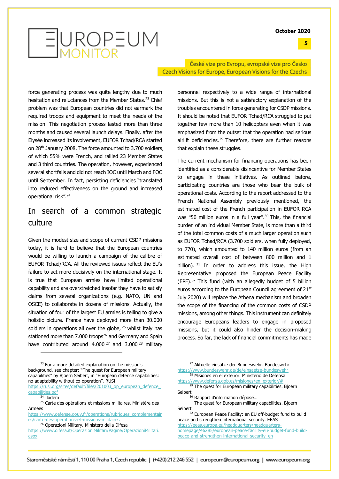**5**



České vize pro Evropu, evropské vize pro Česko Czech Visions for Europe, European Visions for the Czechs

force generating process was quite lengthy due to much hesitation and reluctances from the Member States.<sup>23</sup> Chief problem was that European countries did not earmark the required troops and equipment to meet the needs of the mission. This negotiation process lasted more than three months and caused several launch delays. Finally, after the Élysée increased its involvement, EUFOR Tchad/RCA started on 28th January 2008. The force amounted to 3.700 soldiers, of which 55% were French, and rallied 23 Member States and 3 third countries. The operation, however, experienced several shortfalls and did not reach IOC until March and FOC until September. In fact, persisting deficiencies "translated into reduced effectiveness on the ground and increased operational risk".<sup>24</sup>

#### In search of a common strategic culture

Given the modest size and scope of current CSDP missions today, it is hard to believe that the European countries would be willing to launch a campaign of the calibre of EUFOR Tchad/RCA. All the reviewed issues reflect the EU's failure to act more decisively on the international stage. It is true that European armies have limited operational capability and are overstretched insofar they have to satisfy claims from several organizations (e.g. NATO, UN and OSCE) to collaborate in dozens of missions. Actually, the situation of four of the largest EU armies is telling to give a holistic picture. France have deployed more than 30.000 soldiers in operations all over the globe, <sup>25</sup> whilst Italy has stationed more than 7.000 troops<sup>26</sup> and Germany and Spain have contributed around 4.000<sup>27</sup> and 3.000<sup>28</sup> military

<sup>23</sup> For a more detailed explanation on the mission's background, see chapter: "The quest for European military capabilities" by Bjoern Seibert, in "European defence capabilities: no adaptability without co-operation". RUSI

https://rusi.org/sites/default/files/201003\_op\_european\_defence [capabilities.pdf](https://rusi.org/sites/default/files/201003_op_european_defence_capabilities.pdf)

 $24$  Ibidem

<sup>25</sup> Carte des opérations et missions militaires. Ministère des Armées

[https://www.defense.gouv.fr/operations/rubriques\\_complementair](https://www.defense.gouv.fr/operations/rubriques_complementaires/carte-des-operations-et-missions-militaires) [es/carte-des-operations-et-missions-militaires](https://www.defense.gouv.fr/operations/rubriques_complementaires/carte-des-operations-et-missions-militaires)

<sup>26</sup> Operazioni Military. Ministero della Difesa

[https://www.difesa.it/OperazioniMilitari/Pagine/OperazioniMilitari.](https://www.difesa.it/OperazioniMilitari/Pagine/OperazioniMilitari.aspx) [aspx](https://www.difesa.it/OperazioniMilitari/Pagine/OperazioniMilitari.aspx)

personnel respectively to a wide range of international missions. But this is not a satisfactory explanation of the troubles encountered in force generating for CSDP missions. It should be noted that EUFOR Tchad/RCA struggled to put together few more than 10 helicopters even when it was emphasized from the outset that the operation had serious airlift deficiencies.<sup>29</sup> Therefore, there are further reasons that explain these struggles.

The current mechanism for financing operations has been identified as a considerable disincentive for Member States to engage in these initiatives. As outlined before, participating countries are those who bear the bulk of operational costs. According to the report addressed to the French National Assembly previously mentioned, the estimated cost of the French participation in EUFOR RCA was "50 million euros in a full year".<sup>30</sup> This, the financial burden of an individual Member State, is more than a third of the total common costs of a much larger operation such as EUFOR Tchad/RCA (3.700 soldiers, when fully deployed, to 770), which amounted to 140 million euros (from an estimated overall cost of between 800 million and 1 billion). 31 In order to address this issue, the High Representative proposed the European Peace Facility (EPF).<sup>32</sup> This fund (with an allegedly budget of 5 billion euros according to the European Council agreement of 21<sup>st</sup> July 2020) will replace the Athena mechanism and broaden the scope of the financing of the common costs of CSDP missions, among other things. This instrument can definitely encourage Europeans leaders to engage in proposed missions, but it could also hinder the decision-making process. So far, the lack of financial commitments has made

<sup>27</sup> Aktuelle einsätze der Bundeswehr. Bundeswehr <https://www.bundeswehr.de/de/einsaetze-bundeswehr>

28 Misiones en el exterior. Ministerio de Defensa [https://www.defensa.gob.es/misiones/en\\_exterior/#](https://www.defensa.gob.es/misiones/en_exterior/)

<sup>29</sup> The quest for European military capabilities. Bioern Seibert

<sup>30</sup> Rapport d'information déposé...

<sup>31</sup> The quest for European military capabilities. Bjoern Seibert

<sup>32</sup> European Peace Facility: an EU off-budget fund to build peace and strengthen international security. EEAS

[https://eeas.europa.eu/headquarters/headquarters](https://eeas.europa.eu/headquarters/headquarters-homepage/46285/european-peace-facility-eu-budget-fund-build-peace-and-strengthen-international-security_en)[homepage/46285/european-peace-facility-eu-budget-fund-build](https://eeas.europa.eu/headquarters/headquarters-homepage/46285/european-peace-facility-eu-budget-fund-build-peace-and-strengthen-international-security_en)[peace-and-strengthen-international-security\\_en](https://eeas.europa.eu/headquarters/headquarters-homepage/46285/european-peace-facility-eu-budget-fund-build-peace-and-strengthen-international-security_en)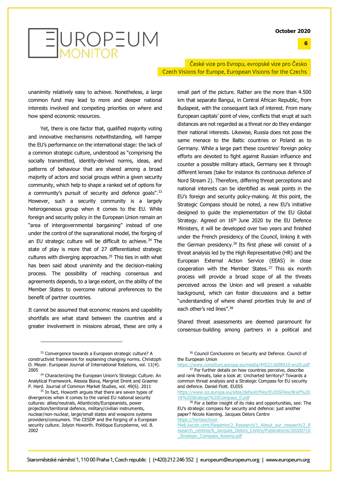**6**



České vize pro Evropu, evropské vize pro Česko Czech Visions for Europe, European Visions for the Czechs

unanimity relatively easy to achieve. Nonetheless, a large common fund may lead to more and deeper national interests involved and competing priorities on where and how spend economic resources.

Yet, there is one factor that, qualified majority voting and innovative mechanisms notwithstanding, will hamper the EU's performance on the international stage: the lack of a common strategic culture, understood as "comprising the socially transmitted, identity-derived norms, ideas, and patterns of behaviour that are shared among a broad majority of actors and social groups within a given security community, which help to shape a ranked set of options for a community's pursuit of security and defence goals".<sup>33</sup> However, such a security community is a largely heterogeneous group when it comes to the EU. While foreign and security policy in the European Union remain an "area of intergovernmental bargaining" instead of one under the control of the supranational model, the forging of an EU strategic culture will be difficult to achieve.<sup>34</sup> The state of play is more that of 27 differentiated strategic cultures with diverging approaches.<sup>35</sup> This ties in with what has been said about unanimity and the decision-making process. The possibility of reaching consensus and agreements depends, to a large extent, on the ability of the Member States to overcome national preferences to the benefit of partner countries.

It cannot be assumed that economic reasons and capability shortfalls are what stand between the countries and a greater involvement in missions abroad, these are only a

small part of the picture. Rather are the more than 4.500 km that separate Bangui, in Central African Republic, from Budapest, with the consequent lack of interest. From many European capitals' point of view, conflicts that erupt at such distances are not regarded as a threat nor do they endanger their national interests. Likewise, Russia does not pose the same menace to the Baltic countries or Poland as to Germany. While a large part these countries' foreign policy efforts are devoted to fight against Russian influence and counter a possible military attack, Germany see it through different lenses (take for instance its continuous defence of Nord Stream 2). Therefore, differing threat perceptions and national interests can be identified as weak points in the EU's foreign and security policy-making. At this point, the Strategic Compass should be noted, a new EU's initiative designed to guide the implementation of the EU Global Strategy. Agreed on 16<sup>th</sup> June 2020 by the EU Defence Ministers, it will be developed over two years and finished under the French presidency of the Council, linking it with the German presidency.<sup>36</sup> Its first phase will consist of a threat analysis led by the High Representative (HR) and the European External Action Service (EEAS) in close cooperation with the Member States. <sup>37</sup> This six month process will provide a broad scope of all the threats perceived across the Union and will present a valuable background, which can foster discussions and a better "understanding of where shared priorities truly lie and of each other's red lines".<sup>38</sup>

Shared threat assessments are deemed paramount for consensus-building among partners in a political and

<sup>33</sup> Convergence towards a European strategic culture? A constructivist framework for explaining changing norms. Christoph O. Meyer. European Journal of International Relations, vol. 11(4). 2005

<sup>34</sup> Characterizing the European Union's Strategic Culture: An Analytical Framework. Alessia Biava, Margriet Drent and Graeme P. Herd. Journal of Common Market Studies, vol. 49(6). 2011

<sup>&</sup>lt;sup>35</sup> In fact, Howorth argues that there are seven types of divergences when it comes to the varied EU national security cultures: allies/neutrals, Atlanticists/Europeanists, power projection/territorial defence, military/civilian instruments, nuclear/non-nuclear, large/small states and weapons systems providers/consumers. The CESDP and the forging of a European security culture. Jolyon Howorth. Politique Européenne, vol. 8. 2002

<sup>&</sup>lt;sup>36</sup> Council Conclusions on Security and Defence. Council of the European Union

<https://www.consilium.europa.eu/media/44521/st08910-en20.pdf> <sup>37</sup> For further details on how countries perceive, describe

and rank threats, take a look at: Uncharted territory? Towards a common threat analysis and a Strategic Compass for EU security and defence. Daniel Fiott. EUISS

[https://www.iss.europa.eu/sites/default/files/EUISSFiles/Brief%20](https://www.iss.europa.eu/sites/default/files/EUISSFiles/Brief%2016%20Strategic%20Compass_0.pdf) [16%20Strategic%20Compass\\_0.pdf](https://www.iss.europa.eu/sites/default/files/EUISSFiles/Brief%2016%20Strategic%20Compass_0.pdf)

<sup>&</sup>lt;sup>38</sup> For a better insight of its risks and opportunities, see: The EU's strategic compass for security and defence: just another paper? Nicole Koening. Jacques Delors Centre [https://hertieschool-](https://hertieschool-f4e6.kxcdn.com/fileadmin/2_Research/1_About_our_research/2_Research_centres/6_Jacques_Delors_Centre/Publications/20200710_Strategic_Compass_Koenig.pdf)

[f4e6.kxcdn.com/fileadmin/2\\_Research/1\\_About\\_our\\_research/2\\_R](https://hertieschool-f4e6.kxcdn.com/fileadmin/2_Research/1_About_our_research/2_Research_centres/6_Jacques_Delors_Centre/Publications/20200710_Strategic_Compass_Koenig.pdf) [esearch\\_centres/6\\_Jacques\\_Delors\\_Centre/Publications/20200710](https://hertieschool-f4e6.kxcdn.com/fileadmin/2_Research/1_About_our_research/2_Research_centres/6_Jacques_Delors_Centre/Publications/20200710_Strategic_Compass_Koenig.pdf) Strategic Compass Koenig.pdf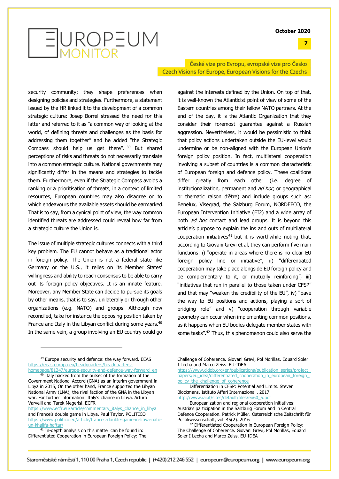**7**

# EUROPEUM

České vize pro Evropu, evropské vize pro Česko Czech Visions for Europe, European Visions for the Czechs

against the interests defined by the Union. On top of that,

security community; they shape preferences when designing policies and strategies. Furthermore, a statement issued by the HR linked it to the development of a common strategic culture: Josep Borrel stressed the need for this latter and referred to it as "a common way of looking at the world, of defining threats and challenges as the basis for addressing them together" and he added "the Strategic Compass should help us get there". <sup>39</sup> But shared perceptions of risks and threats do not necessarily translate into a common strategic culture. National governments may significantly differ in the means and strategies to tackle them. Furthermore, even if the Strategic Compass avoids a ranking or a prioritisation of threats, in a context of limited resources, European countries may also disagree on to which endeavours the available assets should be earmarked. That is to say, from a cynical point of view, the way common identified threats are addressed could reveal how far from a strategic culture the Union is.

The issue of multiple strategic cultures connects with a third key problem. The EU cannot behave as a traditional actor in foreign policy. The Union is not a federal state like Germany or the U.S., it relies on its Member States' willingness and ability to reach consensus to be able to carry out its foreign policy objectives. It is an innate feature. Moreover, any Member State can decide to pursue its goals by other means, that is to say, unilaterally or through other organizations (e.g. NATO) and groups. Although now reconciled, take for instance the opposing position taken by France and Italy in the Libyan conflict during some years.<sup>40</sup> In the same vein, a group involving an EU country could go

<sup>39</sup> Europe security and defence: the way forward. EEAS [https://eeas.europa.eu/headquarters/headquarters](https://eeas.europa.eu/headquarters/headquarters-homepage/81247/europe-security-and-defence-way-forward_en)[homepage/81247/europe-security-and-defence-way-forward\\_en](https://eeas.europa.eu/headquarters/headquarters-homepage/81247/europe-security-and-defence-way-forward_en)

[https://www.ecfr.eu/article/commentary\\_italys\\_chance\\_in\\_libya](https://www.ecfr.eu/article/commentary_italys_chance_in_libya) and France's double game in Libya. Paul Taylor. POLITICO [https://www.politico.eu/article/frances-double-game-in-libya-nato](https://www.politico.eu/article/frances-double-game-in-libya-nato-un-khalifa-haftar/)[un-khalifa-haftar/](https://www.politico.eu/article/frances-double-game-in-libya-nato-un-khalifa-haftar/) 

 $41$  In-depth analysis on this matter can be found in: Differentiated Cooperation in European Foreign Policy: The it is well-known the Atlanticist point of view of some of the Eastern countries among their fellow NATO partners. At the end of the day, it is the Atlantic Organization that they consider their foremost guarantee against a Russian aggression. Nevertheless, it would be pessimistic to think that policy actions undertaken outside the EU-level would undermine or be non-aligned with the European Union's foreign policy position. In fact, multilateral cooperation involving a subset of countries is a common characteristic of European foreign and defence policy. These coalitions differ greatly from each other (i.e. degree of institutionalization, permanent and ad hoc, or geographical or thematic raison d'être) and include groups such as: Benelux, Visegrad, the Salzburg Forum, NORDEFCO, the European Intervention Initiative (EI2) and a wide array of both *ad hoc* contact and lead groups. It is beyond this article's purpose to explain the ins and outs of multilateral cooperation initiatives $41$  but it is worthwhile noting that, according to Giovani Grevi et al, they can perform five main functions: i) "operate in areas where there is no clear EU foreign policy line or initiative", ii) "differentiated cooperation may take place alongside EU foreign policy and be complementary to it, or mutually reinforcing", iii) "initiatives that run in parallel to those taken under CFSP"

and that may "weaken the credibility of the EU", iv) "pave the way to EU positions and actions, playing a sort of bridging role" and v) "cooperation through variable geometry can occur when implementing common positions, as it happens when EU bodies delegate member states with some tasks".<sup>42</sup> Thus, this phenomenon could also serve the

Challenge of Coherence. Giovani Grevi, Pol Morillas, Eduard Soler I Lecha and Marco Zeiss. EU-IDEA

https://www.cidob.org/en/publications/publication\_series/project [papers/eu\\_idea/differentiated\\_cooperation\\_in\\_european\\_foreign\\_](https://www.cidob.org/en/publications/publication_series/project_papers/eu_idea/differentiated_cooperation_in_european_foreign_policy_the_challenge_of_coherence) policy the challenge of coherence

Differentiation in CFSP: Potential and Limits. Steven Blockmans. Istituto Affari Internazionali. 2017 [http://www.iai.it/sites/default/files/eu60\\_5.pdf](http://www.iai.it/sites/default/files/eu60_5.pdf)

Europeanization and regional cooperation initiatives: Austria's participation in the Salzburg Forum and in Central Defence Cooperation. Patrick Müller. Österreichische Zeitschrift für Politikwissenschaft, vol. 45(2). 2016

<sup>2</sup> Differentiated Cooperation in European Foreign Policy: The Challenge of Coherence. Giovani Grevi, Pol Morillas, Eduard Soler I Lecha and Marco Zeiss. EU-IDEA

<sup>&</sup>lt;sup>40</sup> Italy backed from the outset of the formation of the Government National Accord (GNA) as an interim government in Libya in 2015, On the other hand, France supported the Libyan National Army (LNA), the rival faction of the GNA in the Libyan war. For further information: Italy's chance in Libya. Arturo Varvelli and Tarek Megerisi. ECFR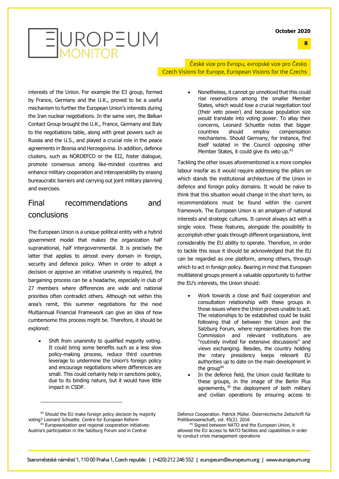**8**

## EUROPEUM

České vize pro Evropu, evropské vize pro Česko Czech Visions for Europe, European Visions for the Czechs

interests of the Union. For example the E3 group, formed by France, Germany and the U.K., proved to be a useful mechanism to further the European Union's interests during the Iran nuclear negotiations. In the same vein, the Balkan Contact Group brought the U.K., France, Germany and Italy to the negotiations table, along with great powers such as Russia and the U.S., and played a crucial role in the peace agreements in Bosnia and Herzegovina. In addition, defence clusters, such as NORDEFCO or the EI2, foster dialogue, promote consensus among like-minded countries and enhance military cooperation and interoperability by erasing bureaucratic barriers and carrying out joint military planning and exercises.

#### Final recommendations and conclusions

The European Union is a unique political entity with a hybrid government model that makes the organization half supranational, half intergovernmental. It is precisely the latter that applies to almost every domain in foreign, security and defence policy. When in order to adopt a decision or approve an initiative unanimity is required, the bargaining process can be a headache, especially in club of 27 members where differences are wide and national priorities often contradict others. Although not within this area's remit, this summer negotiations for the next Multiannual Financial Framework can give an idea of how cumbersome this process might be. Therefore, it should be explored:

Shift from unanimity to qualified majority voting. It could bring some benefits such as a less slow policy-making process, reduce third countries leverage to undermine the Union's foreign policy and encourage negotiations where differences are small. This could certainly help in sanctions policy, due to its binding nature, but it would have little impact in CSDP.

Tackling the other issues aforementioned is a more complex labour insofar as it would require addressing the pillars on which stands the institutional architecture of the Union in defence and foreign policy domains. It would be naïve to think that this situation would change in the short term, so recommendations must be found within the current framework. The European Union is an amalgam of national interests and strategic cultures. It cannot always act with a single voice. These features, alongside the possibility to accomplish other goals through different organizations, limit considerably the EU ability to operate. Therefore, in order to tackle this issue it should be acknowledged that the EU can be regarded as one platform, among others, through which to act in foreign policy. Bearing in mind that European multilateral groups present a valuable opportunity to further the EU's interests, the Union should:

- Work towards a close and fluid cooperation and consultation relationship with these groups in those issues where the Union proves unable to act. The relationships to be established could be build following that of between the Union and the Salzburg Forum, where representatives from the Commission and relevant institutions are "routinely invited for extensive discussions" and views exchanging. Besides, the country holding the rotary presidency keeps relevant EU authorities up to date on the main development in the group<sup>44</sup>
- In the defence field, the Union could facilitate to these groups, in the image of the Berlin Plus agreements,  $45$  the deployment of both military and civilian operations by ensuring access to

Defence Cooperation. Patrick Müller. Österreichische Zeitschrift für Politikwissenschaft, vol. 45(2). 2016

 $5$  Signed between NATO and the European Union, it allowed the EU access to NATO facilities and capabilities in order to conduct crisis management operations

<sup>•</sup> Nonetheless, it cannot go unnoticed that this could rise reservations among the smaller Member States, which would lose a crucial negotiation tool (their veto power) and because population size would translate into voting power. To allay their concerns, Leonard Schuette notes that bigger countries should employ compensation mechanisms. Should Germany, for instance, find itself isolated in the Council opposing other Member States, it could give its veto up.<sup>43</sup>

<sup>43</sup> Should the EU make foreign policy decision by majority voting? Leonard Schuette. Centre for European Reform <sup>4</sup> Europeanization and regional cooperation initiatives: Austria's participation in the Salzburg Forum and in Central